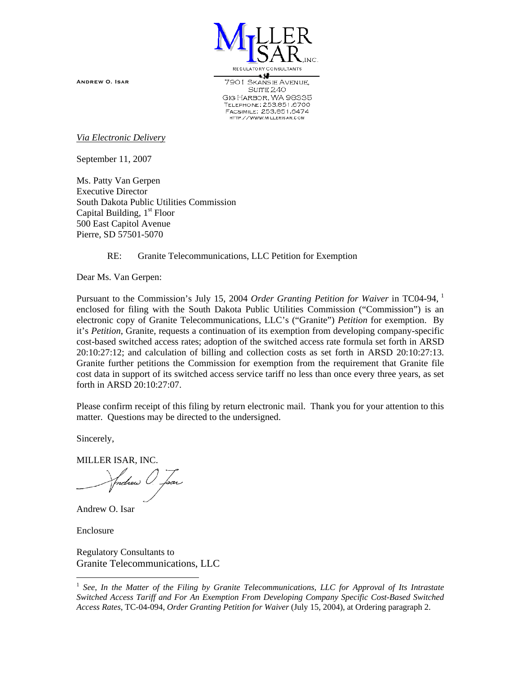

**Andrew O. Isar** 

7901 SKANSIE AVENUE, SUITE<sub>240</sub> GIG HARBOR, WA 98335 TELEPHONE: 253.851.6700 FACSIMILE: 253.851.6474 HTTP://WWW.MILLERISAR.COM

*Via Electronic Delivery*

September 11, 2007

Ms. Patty Van Gerpen Executive Director South Dakota Public Utilities Commission Capital Building,  $1<sup>st</sup>$  Floor 500 East Capitol Avenue Pierre, SD 57501-5070

RE: Granite Telecommunications, LLC Petition for Exemption

Dear Ms. Van Gerpen:

Pursuant to the Commission's July 15, 2004 *Order Granting Petition for Waiver* in TC04-94, <sup>1</sup> enclosed for filing with the South Dakota Public Utilities Commission ("Commission") is an electronic copy of Granite Telecommunications, LLC's ("Granite") *Petition* for exemption. By it's *Petition*, Granite, requests a continuation of its exemption from developing company-specific cost-based switched access rates; adoption of the switched access rate formula set forth in ARSD 20:10:27:12; and calculation of billing and collection costs as set forth in ARSD 20:10:27:13. Granite further petitions the Commission for exemption from the requirement that Granite file cost data in support of its switched access service tariff no less than once every three years, as set forth in ARSD 20:10:27:07.

Please confirm receipt of this filing by return electronic mail. Thank you for your attention to this matter. Questions may be directed to the undersigned.

Sincerely,

MILLER ISAR, INC.

Indiew O . Joan

Andrew O. Isar

Enclosure

 $\overline{a}$ 

Regulatory Consultants to Granite Telecommunications, LLC

<sup>1</sup> *See*, *In the Matter of the Filing by Granite Telecommunications, LLC for Approval of Its Intrastate Switched Access Tariff and For An Exemption From Developing Company Specific Cost-Based Switched Access Rates*, TC-04-094, *Order Granting Petition for Waiver* (July 15, 2004), at Ordering paragraph 2.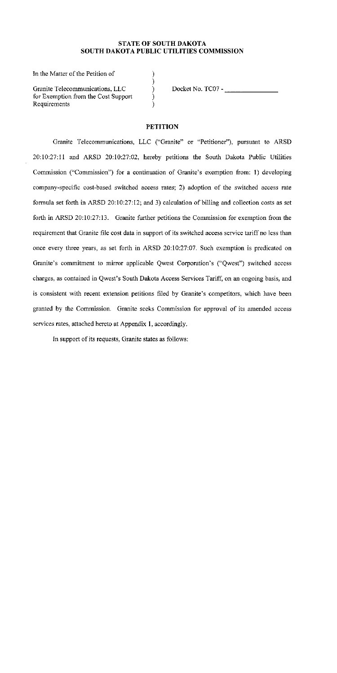### **STATE OF SOUTH DAKOTA** SOUTH DAKOTA PUBLIC UTILITIES COMMISSION

 $\mathcal{E}$ 

⟩

In the Matter of the Petition of

Granite Telecommunications, LLC for Exemption from the Cost Support Requirements

Docket No. TC07 -  $\frac{1}{\sqrt{1-\frac{1}{2}}}\frac{1}{\sqrt{1-\frac{1}{2}}\sqrt{1-\frac{1}{2}}\sqrt{1-\frac{1}{2}}\sqrt{1-\frac{1}{2}}\sqrt{1-\frac{1}{2}}$ 

### **PETITION**

Granite Telecommunications, LLC ("Granite" or "Petitioner"), pursuant to ARSD 20:10:27:11 and ARSD 20:10:27:02, hereby petitions the South Dakota Public Utilities Commission ("Commission") for a continuation of Granite's exemption from: 1) developing company-specific cost-based switched access rates; 2) adoption of the switched access rate formula set forth in ARSD 20:10:27:12; and 3) calculation of billing and collection costs as set forth in ARSD 20:10:27:13. Granite further petitions the Commission for exemption from the requirement that Granite file cost data in support of its switched access service tariff no less than once every three years, as set forth in ARSD 20:10:27:07. Such exemption is predicated on Granite's commitment to mirror applicable Qwest Corporation's ("Qwest") switched access charges, as contained in Qwest's South Dakota Access Services Tariff, on an ongoing basis, and is consistent with recent extension petitions filed by Granite's competitors, which have been granted by the Commission. Granite seeks Commission for approval of its amended access services rates, attached hereto at Appendix 1, accordingly.

In support of its requests, Granite states as follows: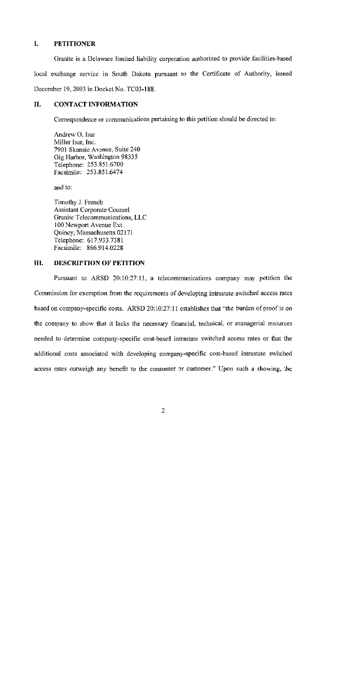#### L. **PETITIONER**

Granite is a Delaware limited liability corporation authorized to provide facilities-based local exchange service in South Dakota pursuant to the Certificate of Authority, issued December 19, 2003 in Docket No. TC03-188.

#### **II. CONTACT INFORMATION**

Correspondence or communications pertaining to this petition should be directed to:

Andrew O. Isar Miller Isar, Inc. 7901 Skansie Avenue, Suite 240 Gig Harbor, Washington 98335 Telephone: 253.851.6700 Facsimile: 253.851.6474

and to:

Timothy J. French **Assistant Corporate Counsel** Granite Telecommunications, LLC 100 Newport Avenue Ext. Quincy, Massachusetts 02171 Telephone: 617.933.7381 Facsimile: 866.914.0228

#### m. **DESCRIPTION OF PETITION**

Pursuant to ARSD 20:10:27:11, a telecommunications company may petition the Commission for exemption from the requirements of developing intrastate switched access rates based on company-specific costs. ARSD 20:10:27:11 establishes that "the burden of proof is on the company to show that it lacks the necessary financial, technical, or managerial resources needed to determine company-specific cost-based intrastate switched access rates or that the additional costs associated with developing company-specific cost-based intrastate switched access rates outweigh any benefit to the consumer or customer." Upon such a showing, the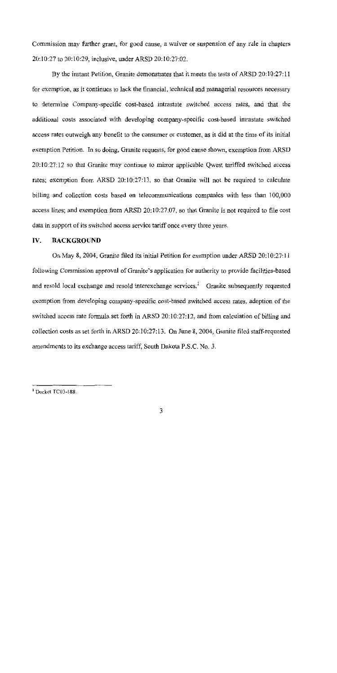Commission may further grant, for good cause, a waiver or suspension of any rule in chapters 20:10:27 to 20:10:29, inclusive, under ARSD 20:10:27:02.

By the instant Petition, Granite demonstrates that it meets the tests of ARSD 20:10:27:11 for exemption, as it continues to lack the financial, technical and managerial resources necessary to determine Company-specific cost-based intrastate switched access rates, and that the additional costs associated with developing company-specific cost-based intrastate switched access rates outweigh any benefit to the consumer or customer, as it did at the time of its initial exemption Petition. In so doing, Granite requests, for good cause shown, exemption from ARSD 20:10:27:12 so that Granite may continue to mirror applicable Owest tariffed switched access rates; exemption from ARSD 20:10:27:13, so that Granite will not be required to calculate billing and collection costs based on telecommunications companies with less than 100,000 access lines; and exemption from ARSD 20:10:27:07, so that Granite is not required to file cost data in support of its switched access service tariff once every three years.

#### IV. **BACKGROUND**

On May 8, 2004, Granite filed its initial Petition for exemption under ARSD 20:10:27:11 following Commission approval of Granite's application for authority to provide facilities-based and resold local exchange and resold interexchange services.<sup>1</sup> Granite subsequently requested exemption from developing company-specific cost-based switched access rates, adoption of the switched access rate formula set forth in ARSD 20:10:27:12, and from calculation of billing and collection costs as set forth in ARSD 20:10:27:13. On June 8, 2004, Granite filed staff-requested amendments to its exchange access tariff, South Dakota P.S.C. No. 3.

 $1$  Docket TC03-188.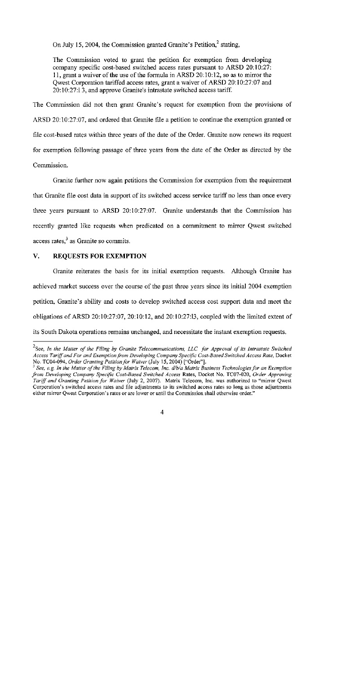On July 15, 2004, the Commission granted Granite's Petition,<sup>2</sup> stating,

The Commission voted to grant the petition for exemption from developing company specific cost-based switched access rates pursuant to ARSD 20:10:27: 11, grant a waiver of the use of the formula in ARSD 20:10:12, so as to mirror the Qwest Corporation tariffed access rates, grant a waiver of ARSD 20:10:27:07 and 20:10:27:13, and approve Granite's intrastate switched access tariff.

The Commission did not then grant Granite's request for exemption from the provisions of ARSD 20:10:27:07, and ordered that Granite file a petition to continue the exemption granted or file cost-based rates within three years of the date of the Order. Granite now renews its request for exemption following passage of three years from the date of the Order as directed by the Commission.

Granite further now again petitions the Commission for exemption from the requirement that Granite file cost data in support of its switched access service tariff no less than once every three years pursuant to ARSD 20:10:27:07. Granite understands that the Commission has recently granted like requests when predicated on a commitment to mirror Qwest switched access rates, $3$  as Granite so commits.

#### V. **REQUESTS FOR EXEMPTION**

Granite reiterates the basis for its initial exemption requests. Although Granite has achieved market success over the course of the past three years since its initial 2004 exemption petition, Granite's ability and costs to develop switched access cost support data and meet the obligations of ARSD 20:10:27:07, 20:10:12, and 20:10:27:13, coupled with the limited extent of its South Dakota operations remains unchanged, and necessitate the instant exemption requests.

 $2$ See, In the Matter of the Filing by Granite Telecommunications, LLC for Approval of its Intrastate Switched Access Tariff and For and Exemption from Developing Company Specific Cost-Based Switched Access Rate, Docket No. TC04-094, Order Granting Petition for Waiver (July 15, 2004) ["Order"].

 $3$  See, e.g. In the Matter of the Filing by Matrix Telecom, Inc.  $d/b/a$  Matrix Business Technologies for an Exemption from Developing Company Specific Cost-Based Switched Access Rates, Docket No. TC07-020, Order Approving Tariff and Granting Petition for Waiver (July 2, 2007). Matrix Telecom, Inc. was authorized to "mirror Qwest Corporation's switched access rates and file adjustments to its switched access rates so long as those adjustments either mirror Qwest Corporation's rates or are lower or until the Commission shall otherwise order."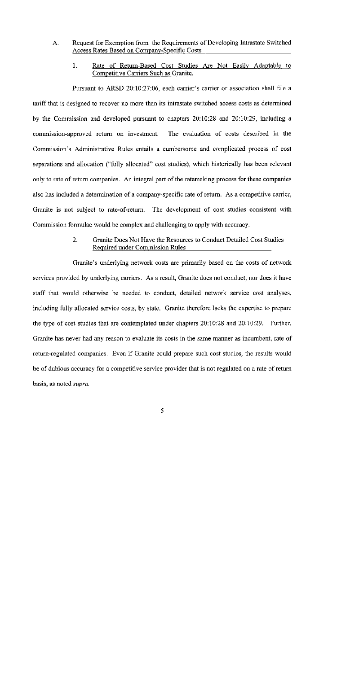- Request for Exemption from the Requirements of Developing Intrastate Switched A. Access Rates Based on Company-Specific Costs
	- Rate of Return-Based Cost Studies Are Not Easily Adaptable to  $1_{-}$ Competitive Carriers Such as Granite.

Pursuant to ARSD 20:10:27:06, each carrier's carrier or association shall file a tariff that is designed to recover no more than its intrastate switched access costs as determined by the Commission and developed pursuant to chapters 20:10:28 and 20:10:29, including a commission-approved return on investment. The evaluation of costs described in the Commission's Administrative Rules entails a cumbersome and complicated process of cost separations and allocation ("fully allocated" cost studies), which historically has been relevant only to rate of return companies. An integral part of the ratemaking process for these companies also has included a determination of a company-specific rate of return. As a competitive carrier, Granite is not subject to rate-of-return. The development of cost studies consistent with Commission formulae would be complex and challenging to apply with accuracy.

> $2.$ Granite Does Not Have the Resources to Conduct Detailed Cost Studies **Required under Commission Rules**

Granite's underlying network costs are primarily based on the costs of network services provided by underlying carriers. As a result, Granite does not conduct, nor does it have staff that would otherwise be needed to conduct, detailed network service cost analyses, including fully allocated service costs, by state. Granite therefore lacks the expertise to prepare the type of cost studies that are contemplated under chapters 20:10:28 and 20:10:29. Further, Granite has never had any reason to evaluate its costs in the same manner as incumbent, rate of return-regulated companies. Even if Granite could prepare such cost studies, the results would be of dubious accuracy for a competitive service provider that is not regulated on a rate of return basis, as noted *supra*.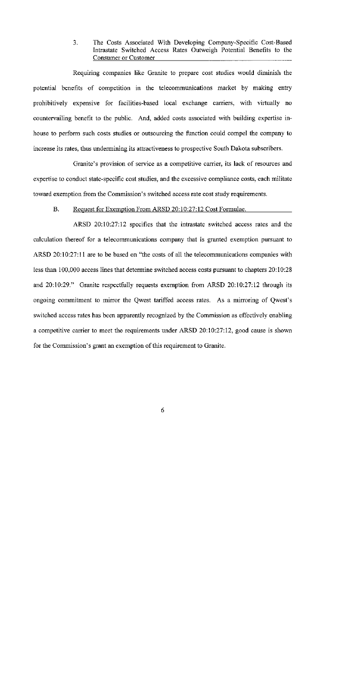3. The Costs Associated With Developing Company-Specific Cost-Based Intrastate Switched Access Rates Outweigh Potential Benefits to the **Consumer or Customer** 

Requiring companies like Granite to prepare cost studies would diminish the potential benefits of competition in the telecommunications market by making entry prohibitively expensive for facilities-based local exchange carriers, with virtually no countervailing benefit to the public. And, added costs associated with building expertise inhouse to perform such costs studies or outsourcing the function could compel the company to increase its rates, thus undermining its attractiveness to prospective South Dakota subscribers.

Granite's provision of service as a competitive carrier, its lack of resources and expertise to conduct state-specific cost studies, and the excessive compliance costs, each militate toward exemption from the Commission's switched access rate cost study requirements.

#### **B.** Request for Exemption From ARSD 20:10:27:12 Cost Formulae.

ARSD 20:10:27:12 specifies that the intrastate switched access rates and the calculation thereof for a telecommunications company that is granted exemption pursuant to ARSD 20:10:27:11 are to be based on "the costs of all the telecommunications companies with less than 100,000 access lines that determine switched access costs pursuant to chapters 20:10:28 and 20:10:29." Granite respectfully requests exemption from ARSD 20:10:27:12 through its ongoing commitment to mirror the Qwest tariffed access rates. As a mirroring of Qwest's switched access rates has been apparently recognized by the Commission as effectively enabling a competitive carrier to meet the requirements under ARSD 20:10:27:12, good cause is shown for the Commission's grant an exemption of this requirement to Granite.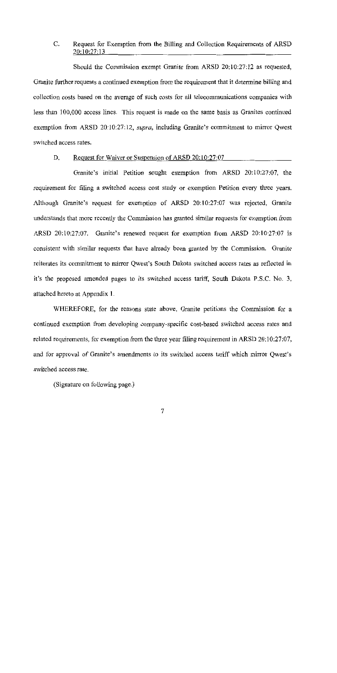### $C_{\cdot}$ Request for Exemption from the Billing and Collection Requirements of ARSD 20:10:27:13

Should the Commission exempt Granite from ARSD 20:10:27:12 as requested, Granite further requests a continued exemption from the requirement that it determine billing and collection costs based on the average of such costs for all telecommunications companies with less than 100,000 access lines. This request is made on the same basis as Granites continued exemption from ARSD 20:10:27:12, *supra*, including Granite's commitment to mirror Qwest switched access rates.

#### D. Request for Waiver or Suspension of ARSD 20:10:27:07

Granite's initial Petition sought exemption from ARSD 20:10:27:07, the requirement for filing a switched access cost study or exemption Petition every three years. Although Granite's request for exemption of ARSD 20:10:27:07 was rejected, Granite understands that more recently the Commission has granted similar requests for exemption from ARSD 20:10:27:07. Granite's renewed request for exemption from ARSD 20:10:27:07 is consistent with similar requests that have already been granted by the Commission. Granite reiterates its commitment to mirror Qwest's South Dakota switched access rates as reflected in it's the proposed amended pages to its switched access tariff, South Dakota P.S.C. No. 3, attached hereto at Appendix 1.

WHEREFORE, for the reasons state above, Granite petitions the Commission for a continued exemption from developing company-specific cost-based switched access rates and related requirements, for exemption from the three year filing requirement in ARSD 20:10:27:07, and for approval of Granite's amendments to its switched access tariff which mirror Qwest's switched access rate.

(Signature on following page.)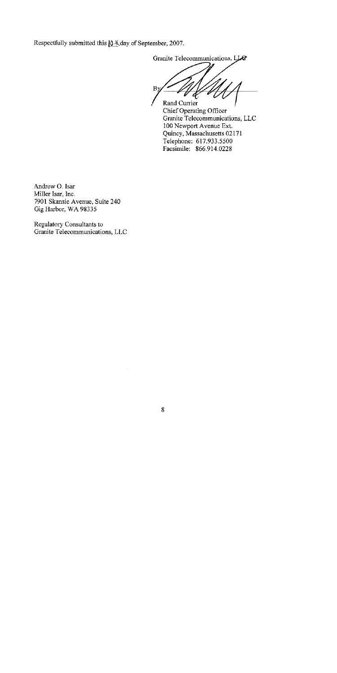Respectfully submitted this  $0 + \text{day of September}$ , 2007.

Granite Telecommunications, LLO **By** Rand Currier

Chief Operating Officer Granite Telecommunications, LLC 100 Newport Avenue Ext. Quincy, Massachusetts 02171 Telephone: 617.933.5500 Facsimile: 866.914.0228

Andrew O. Isar Miller Isar, Inc. 7901 Skansie Avenue, Suite 240 Gig Harbor, WA 98335

**Regulatory Consultants to** Granite Telecommunications, LLC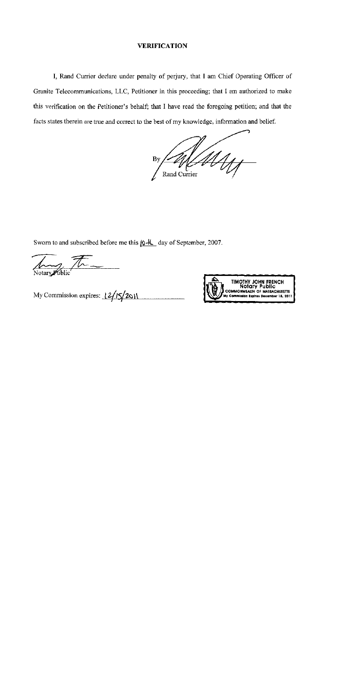### **VERIFICATION**

I, Rand Currier declare under penalty of perjury, that I am Chief Operating Officer of Granite Telecommunications, LLC, Petitioner in this proceeding; that I am authorized to make this verification on the Petitioner's behalf; that I have read the foregoing petition; and that the facts states therein are true and correct to the best of my knowledge, information and belief.

By Rand Currier

Sworn to and subscribed before me this  $[0 + 1]$  day of September, 2007.

My Commission expires:  $\frac{2}{15}$  2611

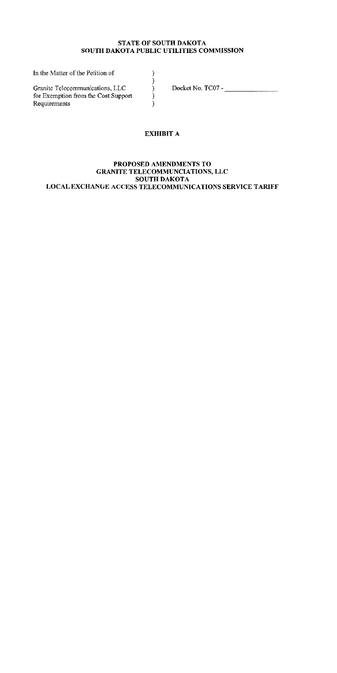# STATE OF SOUTH DAKOTA SOUTH DAKOTA PUBLIC UTILITIES COMMISSION

| In the Matter of the Petition of                                                       |      |
|----------------------------------------------------------------------------------------|------|
| Granite Telecommunications, LLC<br>for Exemption from the Cost Support<br>Requirements | Dock |

# **EXHIBIT A**

# PROPOSED AMENDMENTS TO GRANITE TELECOMMUNCIATIONS, LLC SOUTH DAKOTA **LOCAL EXCHANGE ACCESS TELECOMMUNICATIONS SERVICE TARIFF**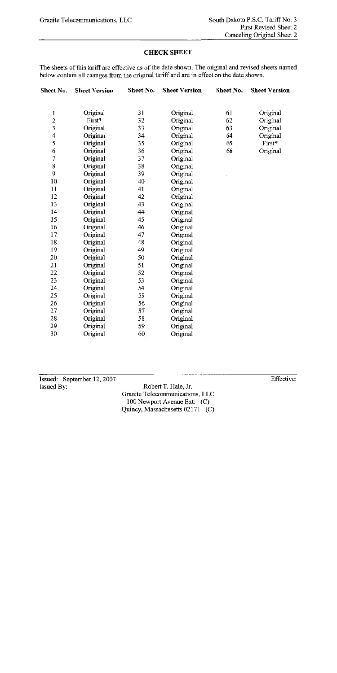### **CHECK SHEET**

The sheets of this tariff are effective as of the date shown. The original and revised sheets named below contain all changes from the original tariff and are in effect on the date shown.

| Sheet No.                 | <b>Sheet Version</b> | Sheet No. | <b>Sheet Version</b> | <b>Sheet No.</b> | <b>Sheet Version</b> |
|---------------------------|----------------------|-----------|----------------------|------------------|----------------------|
| 1                         | Original             | 31        | Original             | 61               | Original             |
| $\overline{c}$            | First*               | 32        | Original             | 62               | Original             |
| 3                         | Original             | 33        | Original             | 63               | Original             |
| $\overline{4}$            | Original             | 34        | Original             | 64               | Original             |
| 5                         | Original             | 35        | Original             | 65               | First*               |
| 6                         | Original             | 36        | Original             | 66               | Original             |
| $\overline{\overline{I}}$ | Original             | 37        | Original             |                  |                      |
| 8                         | Original             | 38        | Original             |                  |                      |
| 9                         | Original             | 39        | Original             |                  |                      |
| 10                        | Original             | 40        | Original             |                  |                      |
| 11                        | Original             | 41        | Original             |                  |                      |
| 12                        | Original             | 42        | Original             |                  |                      |
| 13                        | Original             | 43        | Original             |                  |                      |
| 14                        | Original             | 44        | Original             |                  |                      |
| 15                        | Original             | 45        | Original             |                  |                      |
| 16                        | Original             | 46        | Original             |                  |                      |
| 17                        | Original             | 47        | Original             |                  |                      |
| 18                        | Original             | 48        | Original             |                  |                      |
| 19                        | Original             | 49        | Original             |                  |                      |
| 20                        | Original             | 50        | Original             |                  |                      |
| 21                        | Original             | 51        | Original             |                  |                      |
| 22                        | Original             | 52        | Original             |                  |                      |
| 23                        | Original             | 53        | Original             |                  |                      |
| 24                        | Original             | 54        | Original             |                  |                      |
| 25                        | Original             | 55        | Original             |                  |                      |
| 26                        | Original             | 56        | Original             |                  |                      |
| 27                        | Original             | 57        | Original             |                  |                      |
| 28                        | Original             | 58        | Original             |                  |                      |
| 29                        | Original             | 59        | Original             |                  |                      |
| 30                        | Original             | 60        | <b>Original</b>      |                  |                      |

Issued: September 12, 2007 Issued By:

Robert T. Hale, Jr. Granite Telecommunications, LLC 100 Newport Avenue Ext. (C) Quincy, Massachusetts 02171 (C) Effective: